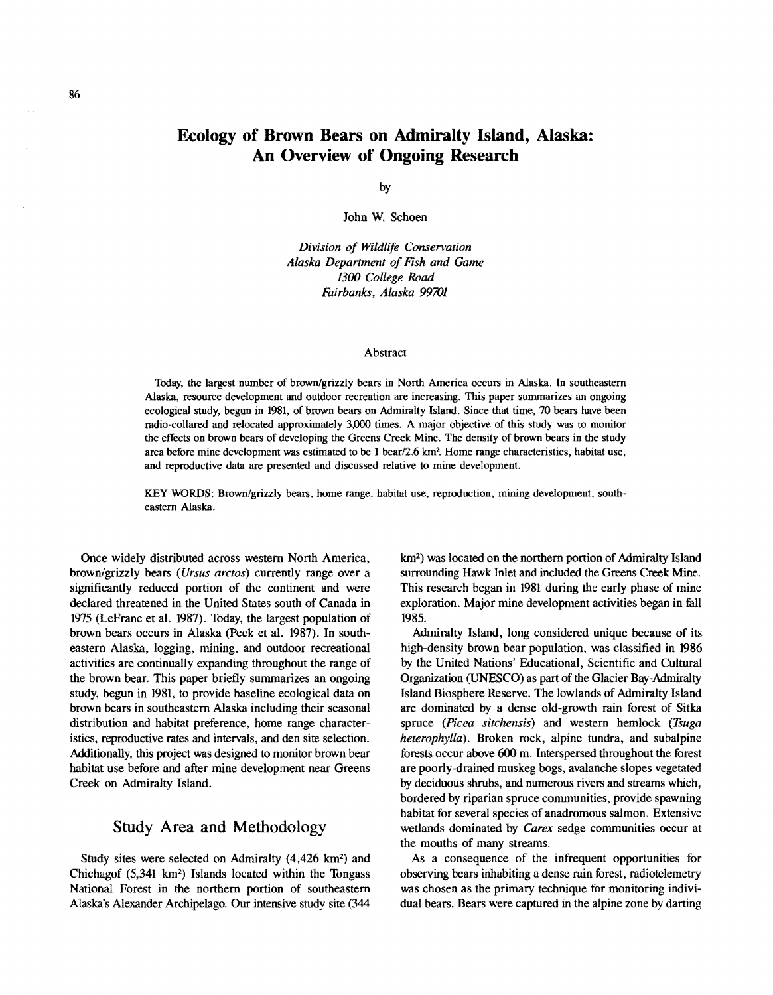## **Ecology of Brown Bears on Admiralty Island, Alaska: An Overview of Ongoing Research**

by

John W. Schoen

*Division of Wildlife Conservation Alaska Department of Fish and Game 1300 College Road Fairbanks, Alaska 99701* 

#### Abstract

Today, the largest number of brown/grizzly bears in North America occurs in Alaska. In southeastern Alaska, resource development and outdoor recreation are increasing. This paper summarizes an ongoing ecological study, begun in 1981, of brown bears on Admiralty Island. Since that time, 70 bears have been radio-collared and relocated approximately 3,000 times. A major objective of this study was to monitor the effects on brown bears of developing the Greens Creek Mine. The density of brown bears in the study area before mine development was estimated to be 1 bear/2.6 km<sup>2</sup>. Home range characteristics, habitat use, and reproductive data are presented and discussed relative to mine development.

KEY WORDS: Brown/grizzly bears, home range, habitat use, reproduction, mining development, southeastern Alaska.

Once widely distributed across western North America, brown/grizzly bears *(Ursus arctos)* currently range over a significantly reduced portion of the continent and were declared threatened in the United States south of Canada in 1975 (LeFranc et al. 1987). Today, the largest population of brown bears occurs in Alaska (Peek et al. 1987). In southeastern Alaska, logging, mining, and outdoor recreational activities are continually expanding throughout the range of the brown bear. This paper briefly summarizes an ongoing study, begun in 1981, to provide baseline ecological data on brown bears in southeastern Alaska including their seasonal distribution and habitat preference, home range characteristics, reproductive rates and intervals, and den site selection. Additionally, this project was designed to monitor brown bear habitat use before and after mine development near Greens Creek on Admiralty Island.

#### Study Area and Methodology

Study sites were selected on Admiralty (4,426 km2) and Chichagof  $(5.341 \text{ km}^2)$  Islands located within the Tongass National Forest in the northern portion of southeastern Alaska's Alexander Archipelago. Our intensive study site (344

km2) was located on the northern portion of Admiralty Island surrounding Hawk Inlet and included the Greens Creek Mine. This research began in 1981 during the early phase of mine exploration. Major mine development activities began in fhll 1985.

Admiralty Island, long considered unique because of its high-density brown bear population, was classified in 1986 by the United Nations' Educational, Scientific and Cultural Organization (UNESCO) as part of the Glacier Bay-Admiralty Island Biosphere Reserve. The lowlands of Admiralty Island are dominated by a dense old-growth rain forest of Sitka spruce *(Picea sitchensis)* and western hemlock *(Tsuga heterophylla).* Broken rock, alpine tundra, and subalpine forests occur above 600 m. Interspersed throughout the forest are poorly-drained muskeg bogs, avalanche slopes vegetated by deciduous shrubs, and numerous rivers and streams which, bordered by riparian spruce communities, provide spawning habitat for several species of anadromous salmon. Extensive wetlands dominated by *Carex* sedge communities occur at the mouths of many streams.

As a consequence of the infrequent opportunities for observing bears inhabiting a dense rain forest, radiotelemetry was chosen as the primary technique for monitoring individual bears. Bears were captured in the alpine zone by darting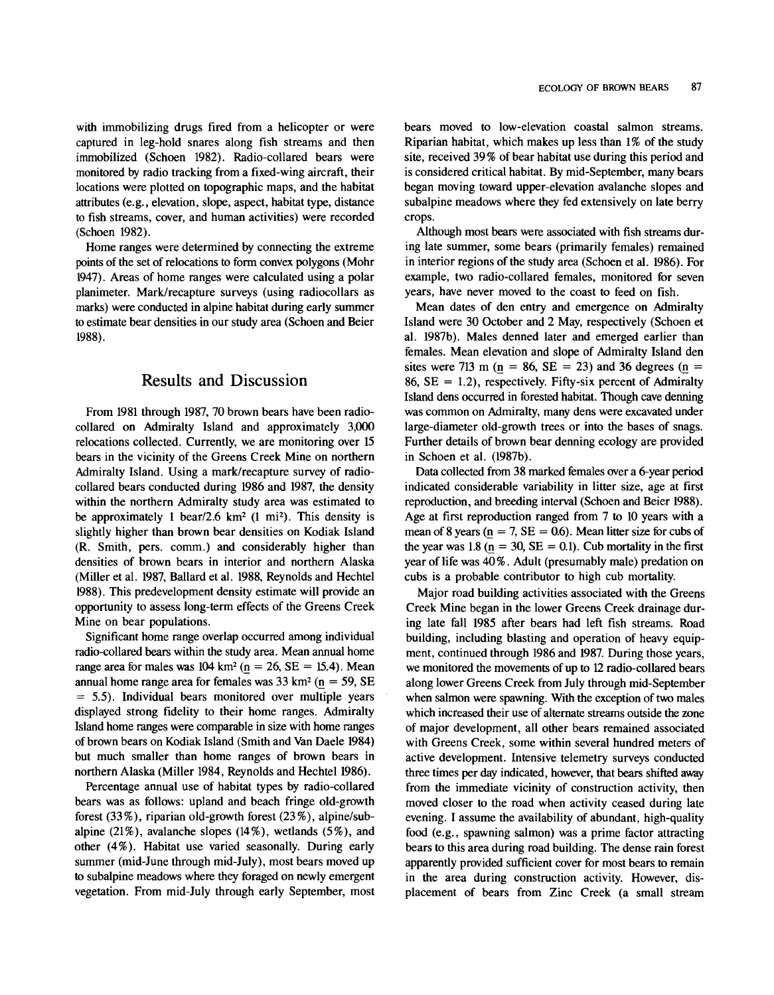with immobilizing drugs fired from a helicopter or were captured in leg-hold snares along fish streams and then immobilized (Schoen 1982). Radio-collared bears were monitored by radio tracking from a fixed-wing aircraft, their locations were plotted on topographic maps, and the habitat attributes (e.g., elevation, slope, aspect, habitat type, distance to fish streams, cover, and human activities) were recorded (Schoen 1982).

Home ranges were determined by connecting the extreme points of the set of relocations to form convex polygons (Mohr 1947). Areas of home ranges were calculated using a polar planimeter. Mark/recapture surveys (using radiocollars as marks) were conducted in alpine habitat during early summer to estimate bear densities in our study area (Schoen and Beier 1988).

#### Results and Discussion

From 1981 through 1987, 70 brown bears have been radiocollared on Admiralty Island and approximately 3,000 relocations collected. Currently, we are monitoring over 15 bears in the vicinity of the Greens Creek Mine on northern Admiralty Island. Using a mark/recapture survey of radiocollared bears conducted during 1986 and 1987, the density within the northern Admiralty study area was estimated to be approximately 1 bear/2.6 km<sup>2</sup> (1 mi<sup>2</sup>). This density is slightly higher than brown bear densities on Kodiak Island (R. Smith, pers. comm.) and considerably higher than densities of brown bears in interior and northern Alaska (Miller et al. 1987, Ballard et al. 1988, Reynolds and Hechtel 1988). This predevelopment density estimate will provide an opportunity to assess long-term effects of the Greens Creek Mine on bear populations.

Significant home range overlap occurred among individual radio-collared bears within the study area. Mean annual home range area for males was  $104 \text{ km}^2$  ( $n = 26$ ,  $SE = 15.4$ ). Mean annual home range area for females was  $33 \text{ km}^2$  ( $\text{n} = 59$ , SE = 5.5). Individual bears monitored over multiple years displayed strong fidelity to their home ranges. Admiralty Island home ranges were comparable in size with home ranges of brown bears on Kodiak Island (Smith and VanDaele 1984) but much smaller than home ranges of brown bears in northern Alaska (Miller 1984, Reynolds and Hechtel 1986).

Percentage annual use of habitat types by radio-collared bears was as follows: upland and beach fringe old-growth forest (33%), riparian old-growth forest (23%), alpine/subalpine (21%), avalanche slopes (14%), wetlands (5%), and other (4%). Habitat use varied seasonally. During early summer (mid-June through mid-July), most bears moved up to subalpine meadows where they foraged on newly emergent vegetation. From mid-July through early September, most bears moved to low-elevation coastal salmon streams. Riparian habitat, which makes up less than 1% of the study site, received 39% of bear habitat use during this period and is considered critical habitat. By mid-September, many bears began moving toward upper-elevation avalanche slopes and subalpine meadows where they fed extensively on late berry crops.

Although most bears were associated with fish streams during late summer, some bears (primarily females) remained in interior regions of the study area (Schoen et al. 1986). For example, two radio-collared females, monitored for seven years, have never moved to the coast to feed on fish.

Mean dates of den entry and emergence on Admiralty Island were 30 October and 2 May, respectively (Schoen et a!. 1987b). Males denned later and emerged earlier than females. Mean elevation and slope of Admiralty Island den sites were 713 m ( $n = 86$ ,  $SE = 23$ ) and 36 degrees ( $n =$ 86,  $SE = 1.2$ ), respectively. Fifty-six percent of Admiralty Island dens occurred in forested habitat. Though cave denning was common on Admiralty, many dens were excavated under large-diameter old-growth trees or into the bases of snags. Further details of brown bear denning ecology are provided in Schoen et al. (1987b).

Data collected from 38 marked females over a 6-year period indicated considerable variability in litter size, age at first reproduction, and breeding interval (Schoen and Beier 1988). Age at first reproduction ranged from 7 to 10 years with a mean of 8 years ( $n = 7$ ,  $SE = 0.6$ ). Mean litter size for cubs of the year was 1.8 ( $n = 30$ ,  $SE = 0.1$ ). Cub mortality in the first year of life was 40%. Adult (presumably male) predation on cubs is a probable contributor to high cub mortality.

Major road building activities associated with the Greens Creek Mine began in the lower Greens Creek drainage during late fall 1985 after bears had left fish streams. Road building, including blasting and operation of heavy equipment, continued through 1986 and 1987. During those years, we monitored the movements of up to 12 radio-collared bears along lower Greens Creek from July through mid-September when salmon were spawning. With the exception of two males which increased their use of alternate streams outside the zone of major development, all other bears remained associated with Greens Creek, some within several hundred meters of active development. Intensive telemetry surveys conducted three times per day indicated, however, that bears shifted away from the immediate vicinity of construction activity, then moved closer to the road when activity ceased during late evening. I assume the availability of abundant, high-quality food (e.g., spawning salmon) was a prime factor attracting bears to this area during road building. The dense rain forest apparently provided sufficient cover for most bears to remain in the area during construction activity. However, displacement of bears from Zinc Creek (a small stream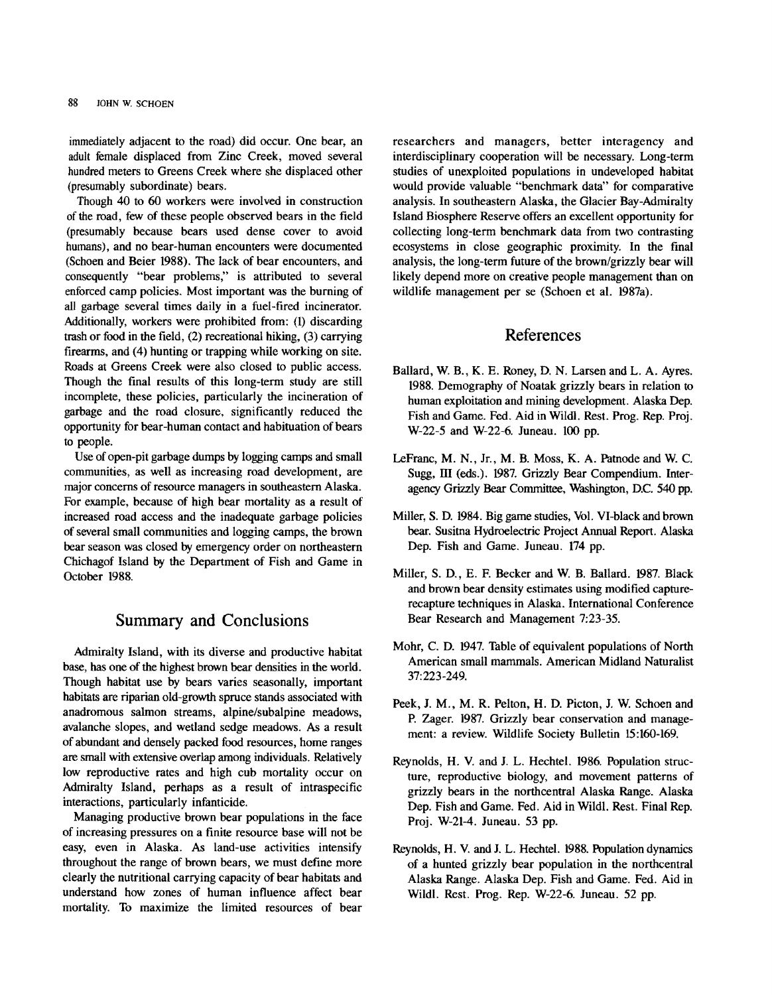immediately adjacent to the road) did occur. One bear, an adult female displaced from Zinc Creek, moved several hundred meters to Greens Creek where she displaced other {presumably subordinate) bears.

Though 40 to 60 workers were involved in construction of the road, few of these people observed bears in the field {presumably because bears used dense cover to avoid humans), and no bear-human encounters were documented {Schoen and Beier 1988). The lack of bear encounters, and consequently "bear problems," is attributed to several enforced camp policies. Most important was the burning of all garbage several times daily in a fuel-fired incinerator. Additionally, workers were prohibited from: (l) discarding trash or food in the field, (2) recreational hiking, (3) carrying firearms, and (4) hunting or trapping while working on site. Roads at Greens Creek were also closed to public access. Though the final results of this long-term study are still incomplete, these policies, particularly the incineration of garbage and the road closure, significantly reduced the opportunity for bear-human contact and habituation of bears to people.

Use of open-pit garbage dumps by logging camps and small communities, as well as increasing road development, are major concerns of resource managers in southeastern Alaska. For example, because of high bear mortality as a result of increased road access and the inadequate garbage policies of several small communities and logging camps, the brown bear season was closed by emergency order on northeastern Chichagof Island by the Department of Fish and Game in October 1988.

### Summary and Conclusions

Admiralty Island, with its diverse and productive habitat base, has one of the highest brown bear densities in the world. Though habitat use by bears varies seasonally, important habitats are riparian old-growth spruce stands associated with anadromous salmon streams, alpine/subalpine meadows, avalanche slopes, and wetland sedge meadows. As a result of abundant and densely packed food resources, home ranges are small with extensive overlap among individuals. Relatively low reproductive rates and high cub mortality occur on Admiralty Island, perhaps as a result of intraspecific interactions, particularly infanticide.

Managing productive brown bear populations in the face of increasing pressures on a finite resource base will not be easy, even in Alaska. As land-use activities intensify throughout the range of brown bears, we must define more clearly the nutritional carrying capacity of bear habitats and understand how zones of human influence affect bear mortality. To maximize the limited resources of bear researchers and managers, better interagency and interdisciplinary cooperation will be necessary. Long-term studies of unexploited populations in undeveloped habitat would provide valuable "benchmark data" for comparative analysis. In southeastern Alaska, the Glacier Bay-Admiralty Island Biosphere Reserve offers an excellent opportunity for collecting long-term benchmark data from two contrasting ecosystems in close geographic proximity. In the final analysis, the long-term future of the brown/grizzly bear will likely depend more on creative people management than on wildlife management per se (Schoen et al. 1987a).

#### References

- Ballard, W. B., K. E. Roney, D. N. Larsen and L.A. Ayres. 1988. Demography of Noatak grizzly bears in relation to human exploitation and mining development. Alaska Dep. Fish and Game. Fed. Aid in Wildl. Rest. Prog. Rep. Proj. W-22-5 and W-22-6. Juneau. 100 pp.
- LeFranc, M. N., Jr., M. B. Moss, K. A. Patnode and W. C. Sugg, III (eds.). 1987. Grizzly Bear Compendium. Interagency Grizzly Bear Committee, Washington, D.C. 540 pp.
- Miller, S. D. 1984. Big game studies, Vol. VI-black and brown bear. Susitna Hydroelectric Project Annual Report. Alaska Dep. Fish and Game. Juneau. 174 pp.
- Miller, S. D., E. F. Becker and W. B. Ballard. 1987. Black and brown bear density estimates using modified capturerecapture techniques in Alaska. International Conference Bear Research and Management 7:23-35.
- Mohr, C. D. 1947. Table of equivalent populations of North American small mammals. American Midland Naturalist 37:223-249.
- Peek, J. M., M. R. Pelton, H. D. Picton, J. W. Schoen and P. Zager. 1987. Grizzly bear conservation and management: a review. Wildlife Society Bulletin 15:160-169.
- Reynolds, H. V. and J. L. Hechtel. 1986. Population structure, reproductive biology, and movement patterns of grizzly bears in the northcentral Alaska Range. Alaska Dep. Fish and Game. Fed. Aid in Wildl. Rest. Final Rep. Proj. W-21-4. Juneau. 53 pp.
- Reynolds, H. V. and J. L. Bechtel. 1988. Population dynamics of a hunted grizzly bear population in the northcentral Alaska Range. Alaska Dep. Fish and Game. Fed. Aid in Wildl. Rest. Prog. Rep. W-22-6. Juneau. 52 pp.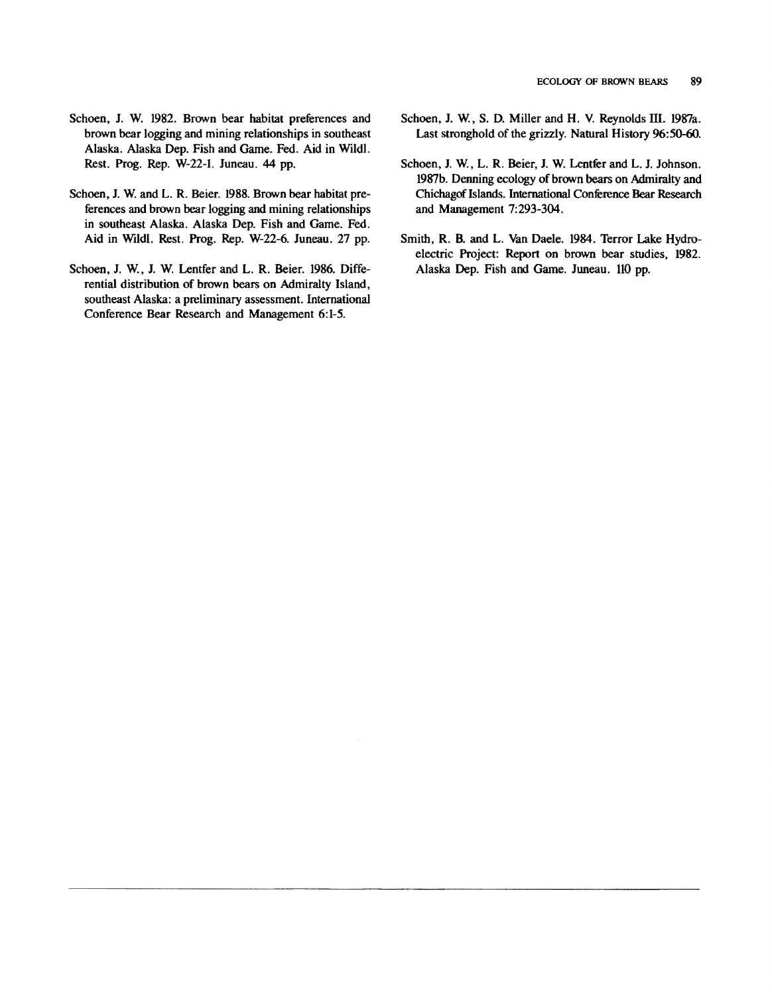- Schoen, J. W. 1982. Brown bear habitat preferences and brown bear logging and mining relationships in southeast Alaska. Alaska Dep. Fish and Game. Fed. Aid in Wildl. Rest. Prog. Rep. W-22-1. Juneau. 44 pp.
- Schoen, J. W. and L. R. Beier. 1988. Brown bear habitat preferences and brown bear logging and mining relationships in southeast Alaska. Alaska Dep. Fish and Game. Fed. Aid in Wildl. Rest. Prog. Rep. W-22-6. Juneau. 27 pp.
- Schoen, J. W., J. W. Lentfer and L. R. Beier. 1986. Differential distribution of brown bears on Admiralty Island, southeast Alaska: a preliminary assessment. International Conference Bear Research and Management 6:1-5.
- Schoen, J. W., S. D. Miller and H. V. Reynolds III. 1987a. Last stronghold of the grizzly. Natural History 96:50-60.
- Schoen, J. W., L. R. Beier, I. W. Lentfer and L. J. Johnson. 1987b. Denning ecology of brown bears on Admiralty and Chichagof Islands. International Conference Bear Research and Management 7:293-304.
- Smith, R. B. and L. Van Daele. 1984. Terror Lake Hydroelectric Project: Report on brown bear studies, 1982. Alaska Dep. Fish and Game. Juneau. 110 pp.